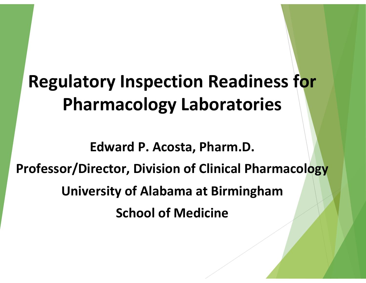### **Regulatory Inspection Readiness for Pharmacology Laboratories**

Edward P. Acosta, Pharm.D. **Professor/Director, Division of Clinical Pharmacology University of Alabama at Birmingham School of Medicine**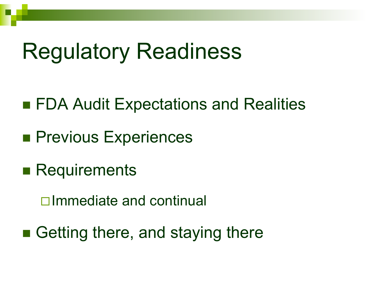### Regulatory Readiness

- n■ FDA Audit Expectations and Realities
- n**Previous Experiences**
- Requirements
	- $\square$ Immediate and continual
- n■ Getting there, and staying there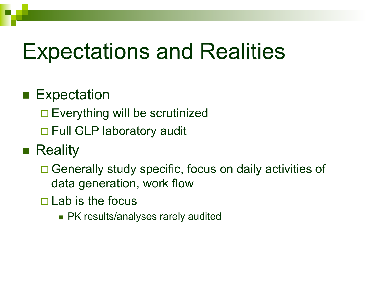# Expectations and Realities

#### $\blacksquare$  Expectation

 $\square$  Everything will be scrutinized

 $\Box$  Full GLP laboratory audit

#### ■ Reality

 $\Box$  Generally study specific, focus on daily activities of data generation, work flow

 $\square$  Lab is the focus

 $\blacksquare$  PK results/analyses rarely audited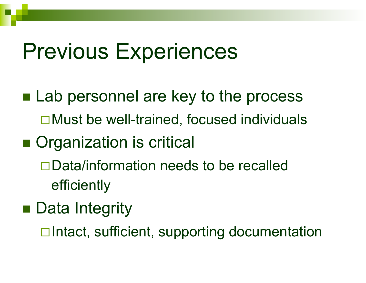### Previous Experiences

- Lab personnel are key to the process  $\Box$  Must be well-trained, focused individuals
- **Organization is critical** 
	- $\square$ Data/information needs to be recalled efficiently
- Data Integrity
	- **□Intact, sufficient, supporting documentation**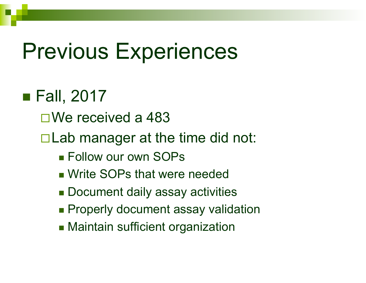### Previous Experiences

### $\blacksquare$  Fall, 2017

- $\square$  We received a 483
- $\Box$  Lab manager at the time did not:
	- $\blacksquare$  Follow our own SOPs
	- **Notable SOPs that were needed Fig. 3.**
	- Document daily assay activities
	- $\blacksquare$  Properly document assay validation
	- **n** Maintain sufficient organization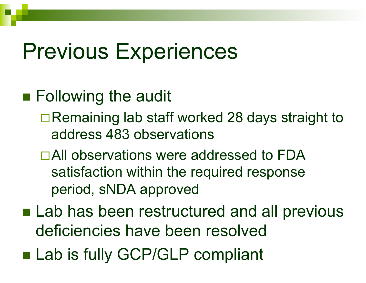### Previous Experiences

- Following the audit
	- $\Box$  Remaining lab staff worked 28 days straight to address 483 observations
	- □All observations were addressed to FDA satisfaction within the required response period, sNDA approved
- n■ Lab has been restructured and all previous deficiencies have been resolved
- n■ Lab is fully GCP/GLP compliant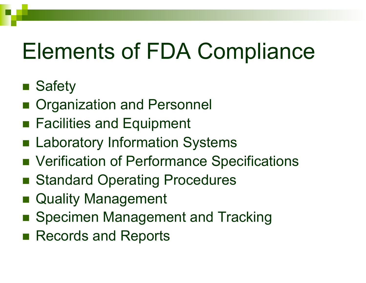# Elements of FDA Compliance

#### ■ Safety

- **n Organization and Personnel**
- Facilities and Equipment
- **n Laboratory Information Systems**
- Verification of Performance Specifications
- Standard Operating Procedures
- **n Quality Management**
- Specimen Management and Tracking
- Records and Reports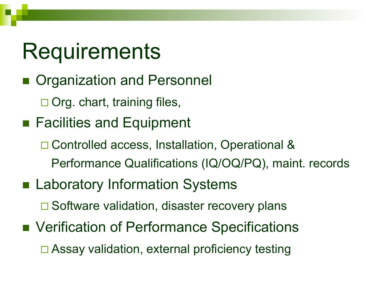# **Requirements**

- **n Organization and Personnel** 
	- $\square$  Org. chart, training files,
- Facilities and Equipment
	- **□ Controlled access, Installation, Operational &** Performance Qualifications (IQ/OQ/PQ), maint. records
- **n Laboratory Information Systems** 
	- $\square$  Software validation, disaster recovery plans
- Verification of Performance Specifications  $\Box$  Assay validation, external proficiency testing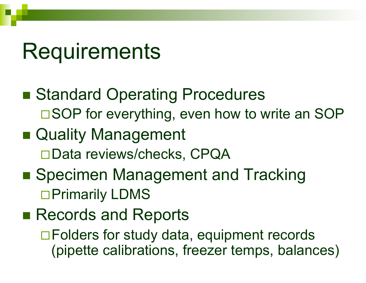### **Requirements**

- n■ Standard Operating Procedures  $\square$  SOP for everything, even how to write an SOP
- Quality Management □Data reviews/checks, CPQA
- Specimen Management and Tracking □ Primarily LDMS
- n■ Records and Reports

 $\Box$  Folders for study data, equipment records (pipette calibrations, freezer temps, balances)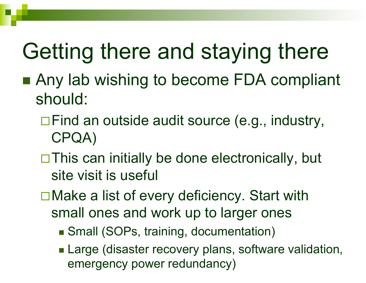- Any lab wishing to become FDA compliant should:
	- $\Box$  Find an outside audit source (e.g., industry, CPQA)
	- $\Box$  This can initially be done electronically, but site visit is useful
	- $\square$  Make a list of every deficiency. Start with small ones and work up to larger ones
		- Small (SOPs, training, documentation)
		- **Large (disaster recovery plans, software validation,** emergency power redundancy)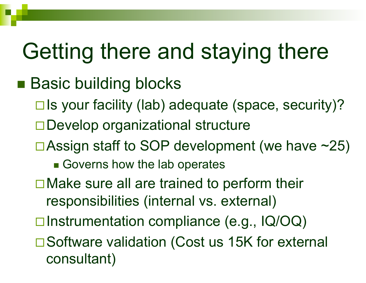#### n<br>1970<br>1970 ■ Basic building blocks

- $\square$  Is your facility (lab) adequate (space, security)?
- $\square$  Develop organizational structure
- $\Box$  Assign staff to SOP development (we have  $\sim$ 25)
	- **n** Governs how the lab operates
- $\square$  Make sure all are trained to perform their responsibilities (internal vs. external)
- $\square$  Instrumentation compliance (e.g.,  $\lceil Q/OQ \rceil$
- □ Software validation (Cost us 15K for external consultant)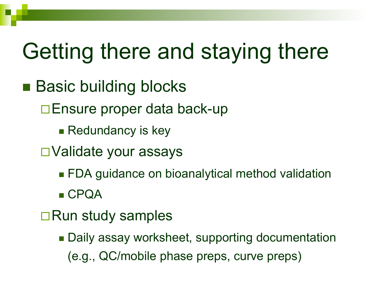- n■ Basic building blocks
	- **□Ensure proper data back-up** 
		- $\blacksquare$  Redundancy is key
	- □Validate your assays
		- $\textcolor{red}{\blacksquare}$  FDA guidance on bioanalytical method validation
		- $\blacksquare$  CPQA
	- □Run study samples
		- Daily assay worksheet, supporting documentation (e.g., QC/mobile phase preps, curve preps)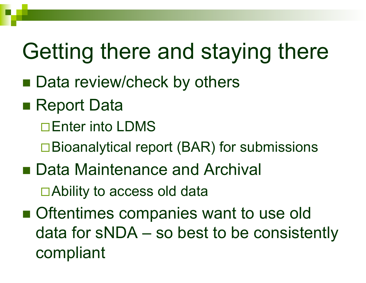- n■ Data review/check by others
- n■ Report Data
	- □Enter into LDMS
	- $\square$  Bioanalytical report (BAR) for submissions
- Data Maintenance and Archival  $\Box$  Ability to access old data
- n■ Oftentimes companies want to use old data for sNDA – so best to be consistently compliant